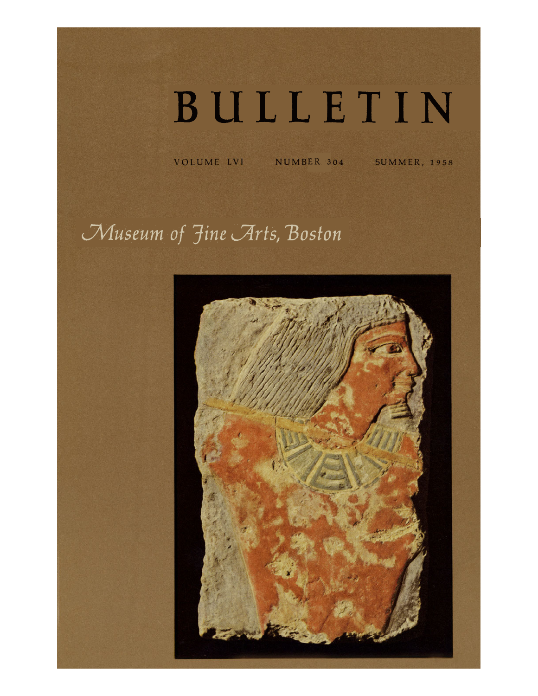## BULLETIN

VOLUME LVI NUMBER 304 SUMMER, 1958

*Museum of Fine Arts, Boston*